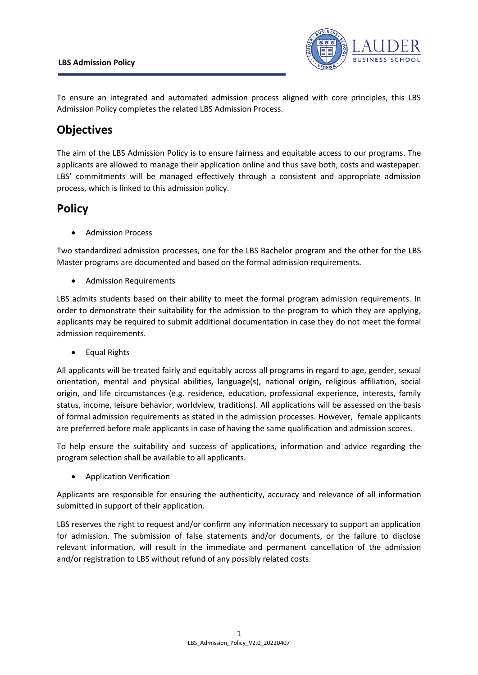## **LBS Admission Policy**



To ensure an integrated and automated admission process aligned with core principles, this LBS Admission Policy completes the related LBS Admission Process.

## **Objectives**

The aim of the LBS Admission Policy is to ensure fairness and equitable access to our programs. The applicants are allowed to manage their application online and thus save both, costs and wastepaper. LBS' commitments will be managed effectively through a consistent and appropriate admission process, which is linked to this admission policy.

## **Policy**

• Admission Process

Two standardized admission processes, one for the LBS Bachelor program and the other for the LBS Master programs are documented and based on the formal admission requirements.

• Admission Requirements

LBS admits students based on their ability to meet the formal program admission requirements. In order to demonstrate their suitability for the admission to the program to which they are applying, applicants may be required to submit additional documentation in case they do not meet the formal admission requirements.

• Equal Rights

All applicants will be treated fairly and equitably across all programs in regard to age, gender, sexual orientation, mental and physical abilities, language(s), national origin, religious affiliation, social origin, and life circumstances (e.g. residence, education, professional experience, interests, family status, income, leisure behavior, worldview, traditions). All applications will be assessed on the basis of formal admission requirements as stated in the admission processes. However, female applicants are preferred before male applicants in case of having the same qualification and admission scores.

To help ensure the suitability and success of applications, information and advice regarding the program selection shall be available to all applicants.

• Application Verification

Applicants are responsible for ensuring the authenticity, accuracy and relevance of all information submitted in support of their application.

LBS reserves the right to request and/or confirm any information necessary to support an application for admission. The submission of false statements and/or documents, or the failure to disclose relevant information, will result in the immediate and permanent cancellation of the admission and/or registration to LBS without refund of any possibly related costs.